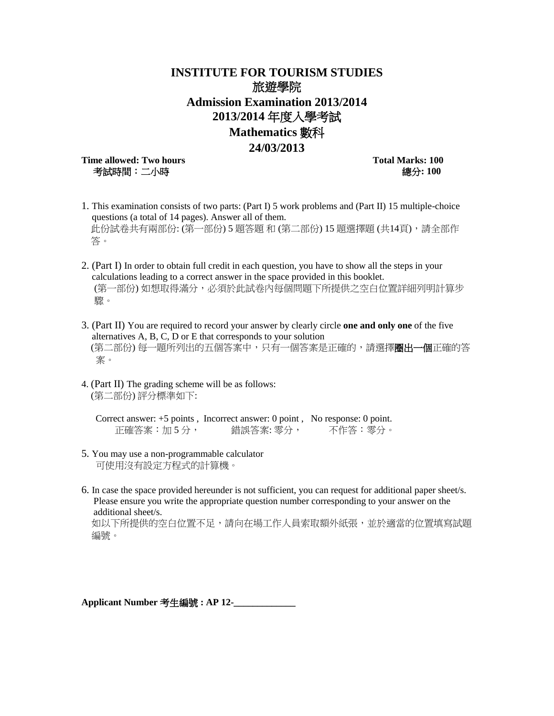## **INSTITUTE FOR TOURISM STUDIES** 旅遊學院 **Admission Examination 2013/2014 2013/2014** 年度入學考試 **Mathematics** 數科

## **24/03/2013**

**Time allowed: Two hours Total Marks: 100** 考試時間:二小時總分**: 100** 

- 1. This examination consists of two parts: (Part I) 5 work problems and (Part II) 15 multiple-choice questions (a total of 14 pages). Answer all of them. 此份試卷共有兩部份: (第一部份) 5 題答題 和 (第二部份) 15 題選擇題 (共14頁), 請全部作 答。
- 2. (Part I) In order to obtain full credit in each question, you have to show all the steps in your calculations leading to a correct answer in the space provided in this booklet. (第一部份) 如想取得滿分,必須於此試卷內每個問題下所提供之空白位置詳細列明計算步 驟。
- 3. (Part II) You are required to record your answer by clearly circle **one and only one** of the five alternatives A, B, C, D or E that corresponds to your solution (第二部份) 每一題所列出的五個答案中,只有一個答案是正確的,請選擇圈出一個正確的答 案。
- 4. (Part II) The grading scheme will be as follows: (第二部份) 評分標準如下:

Correct answer: +5 points , Incorrect answer: 0 point , No response: 0 point. 正確答案: 加5分, 错誤答案: 零分, 不作答: 零分。

- 5. You may use a non-programmable calculator 可使用沒有設定方程式的計算機。
- 6. In case the space provided hereunder is not sufficient, you can request for additional paper sheet/s. Please ensure you write the appropriate question number corresponding to your answer on the additional sheet/s.

如以下所提供的空白位置不足,請向在場工作人員索取額外紙張,並於適當的位置填寫試題 編號。

**Applicant Number** 考生編號 **: AP 12-\_\_\_\_\_\_\_\_\_\_\_\_\_**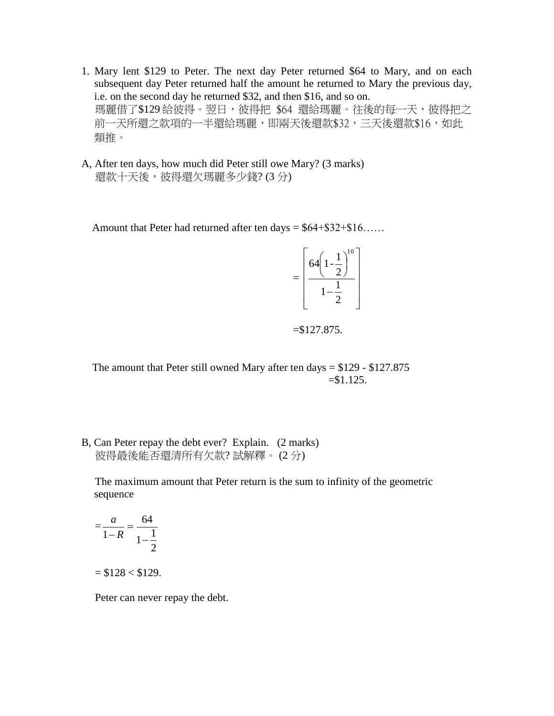- 1. Mary lent \$129 to Peter. The next day Peter returned \$64 to Mary, and on each subsequent day Peter returned half the amount he returned to Mary the previous day, i.e. on the second day he returned \$32, and then \$16, and so on. 瑪麗借了\$129 給彼得。翌日,彼得把 \$64 還給瑪麗。往後的每一天,彼得把之 前一天所還之款項的一半還給瑪麗,即兩天後還款\$32,三天後還款\$16,如此 類推。
- A, After ten days, how much did Peter still owe Mary? (3 marks) 還款十天後,彼得還欠瑪麗多少錢? (3分)

Amount that Peter had returned after ten days =  $$64 + $32 + $16$ .....

$$
=\left[\frac{64\left(1-\frac{1}{2}\right)^{10}}{1-\frac{1}{2}}\right]
$$

 $=$ \$127.875.

The amount that Peter still owned Mary after ten days  $= $129 - $127.875$  $= $1.125.$ 

B, Can Peter repay the debt ever? Explain. (2 marks) 彼得最後能否還清所有欠款? 試解釋。 (2 分)

 The maximum amount that Peter return is the sum to infinity of the geometric sequence

$$
= \frac{a}{1-R} = \frac{64}{1-\frac{1}{2}}
$$

 $= $128 < $129$ .

Peter can never repay the debt.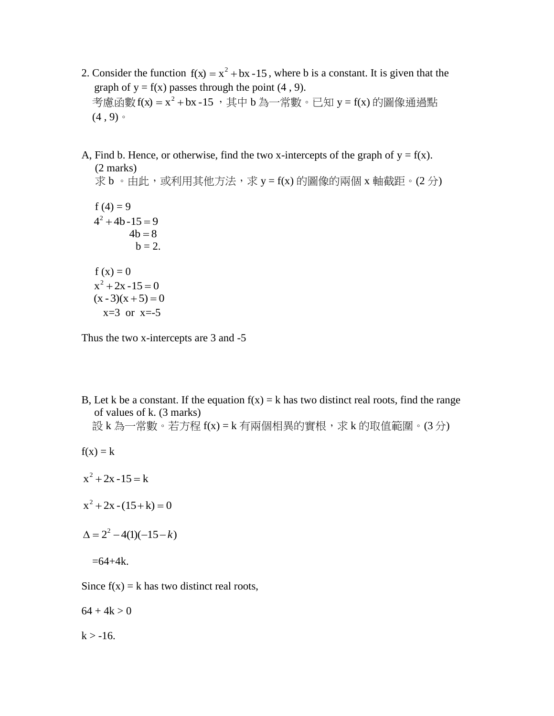- 2. Consider the function  $f(x) = x^2 + bx 15$ , where b is a constant. It is given that the graph of  $y = f(x)$  passes through the point (4, 9). 考慮函數 $f(x) = x^2 + bx - 15$ ,其中 b 為一常數。已知 y = f(x) 的圖像通過點  $(4, 9)$
- A, Find b. Hence, or otherwise, find the two x-intercepts of the graph of  $y = f(x)$ . (2 marks)

 $\ddot{x}$  b 。由此, 或利用其他方法, 求 y = f(x) 的圖像的兩個 x 軸截距。(2分)

 $f(4) = 9$  $4^2 + 4b - 15 = 9$  $4b = 8$  $b = 2$ .  $f(x) = 0$  $x^2 + 2x - 15 = 0$  $(x - 3)(x + 5) = 0$  $x=3$  or  $x=-5$ 

Thus the two x-intercepts are 3 and -5

B, Let k be a constant. If the equation  $f(x) = k$  has two distinct real roots, find the range of values of k. (3 marks) 設 k 為一常數。若方程 f(x) = k 有兩個相異的實根,求 k 的取值範圍。(3分)

 $f(x) = k$ 

- $x^2 + 2x 15 = k$
- $x^2 + 2x (15 + k) = 0$
- $\Delta = 2^2 4(1)(-15-k)$

 $=64+4k.$ 

Since  $f(x) = k$  has two distinct real roots,

 $64 + 4k > 0$ 

 $k > -16$ .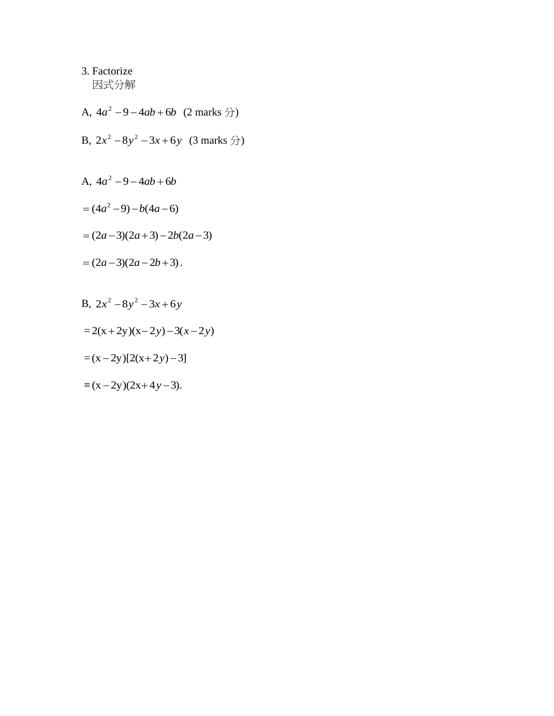3. Factorize 因式分解

- A,  $4a^2 9 4ab + 6b$  (2 marks  $\hat{\pi}$ )
- B,  $2x^2 8y^2 3x + 6y$  (3 marks  $\hat{\pi}$ )

A, 
$$
4a^2 - 9 - 4ab + 6b
$$

$$
= (4a^2 - 9) - b(4a - 6)
$$

$$
= (2a-3)(2a+3) - 2b(2a-3)
$$

$$
= (2a-3)(2a-2b+3).
$$

B, 
$$
2x^2 - 8y^2 - 3x + 6y
$$

$$
= 2(x+2y)(x-2y) - 3(x-2y)
$$

$$
=(x-2y)[2(x+2y)-3]
$$

$$
=(x-2y)(2x+4y-3).
$$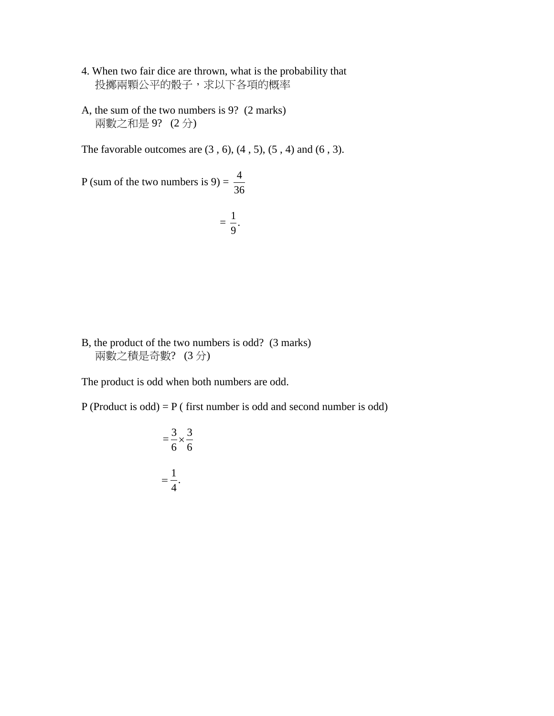- 4. When two fair dice are thrown, what is the probability that 投擲兩顆公平的骰子,求以下各項的概率
- A, the sum of the two numbers is 9? (2 marks) 兩數之和是 9? (2 分)

The favorable outcomes are  $(3, 6)$ ,  $(4, 5)$ ,  $(5, 4)$  and  $(6, 3)$ .

P (sum of the two numbers is  $9$ ) = 36 4

$$
=\frac{1}{9}.
$$

B, the product of the two numbers is odd? (3 marks) 兩數之積是奇數? (3 分)

The product is odd when both numbers are odd.

P (Product is odd) = P ( first number is odd and second number is odd)

$$
= \frac{3}{6} \times \frac{3}{6}
$$

$$
= \frac{1}{4}.
$$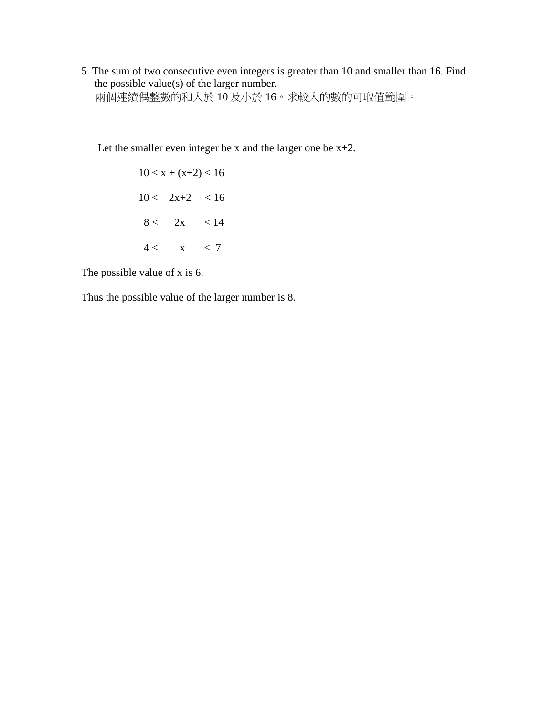5. The sum of two consecutive even integers is greater than 10 and smaller than 16. Find the possible value(s) of the larger number. 兩個連續偶整數的和大於 10 及小於 16。求較大的數的可取值範圍。

Let the smaller even integer be x and the larger one be  $x+2$ .

$$
10 < x + (x+2) < 16
$$
\n
$$
10 < 2x+2 < 16
$$
\n
$$
8 < 2x < 14
$$
\n
$$
4 < x < 7
$$

The possible value of x is 6.

Thus the possible value of the larger number is 8.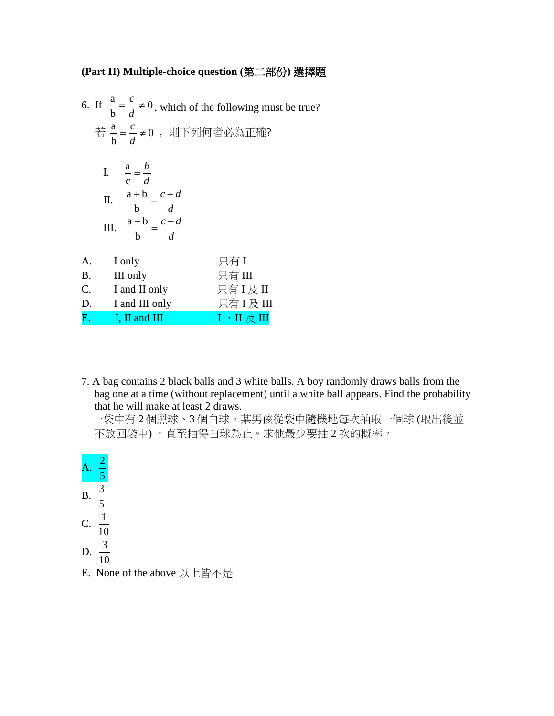## **(Part II) Multiple-choice question (**第二部份**)** 選擇題

|    | 6. If $\frac{a}{b} = \frac{c}{d} \neq 0$ , which of the following must be true?<br>若 $\frac{a}{b} = \frac{c}{d}$ ≠0, 則下列何者必為正確? |                              |  |
|----|---------------------------------------------------------------------------------------------------------------------------------|------------------------------|--|
|    | I. $\frac{a}{c} = \frac{b}{d}$<br>II. $\frac{a+b}{b} = \frac{c+d}{d}$<br>III. $\frac{a-b}{b} = \frac{c-d}{d}$                   |                              |  |
|    | A.<br>I only                                                                                                                    | 只有I                          |  |
|    | <b>B.</b><br>III only                                                                                                           | 只有 III                       |  |
|    | C. I and II only                                                                                                                | 只有I及II                       |  |
| D. | I and III only                                                                                                                  | 只有 I 及 III                   |  |
| E. | $\blacksquare$ I, II and III                                                                                                    | $I \cdot II \not\!\!\!E III$ |  |
|    |                                                                                                                                 |                              |  |

7. A bag contains 2 black balls and 3 white balls. A boy randomly draws balls from the bag one at a time (without replacement) until a white ball appears. Find the probability that he will make at least 2 draws.

 一袋中有 2 個黑球、3 個白球。某男孩從袋中隨機地每次抽取一個球 (取出後並 不放回袋中) ,直至抽得白球為止。求他最少要抽 2 次的概率。



E. None of the above 以上皆不是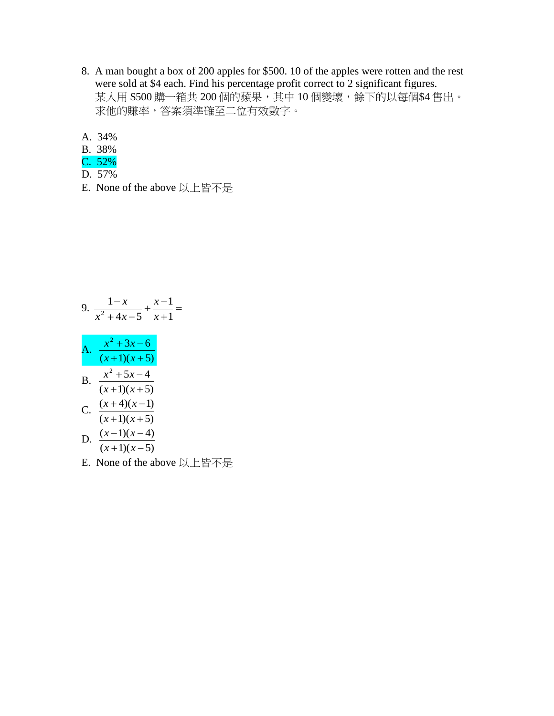- 8. A man bought a box of 200 apples for \$500. 10 of the apples were rotten and the rest were sold at \$4 each. Find his percentage profit correct to 2 significant figures. 某人用 \$500 購一箱共 200 個的蘋果,其中 10 個變壞,餘下的以每個\$4 售出。 求他的賺率,答案須準確至二位有效數字。
- A. 34%
- B. 38%
- C. 52%
- D. 57%
- E. None of the above 以上皆不是

9. 
$$
\frac{1-x}{x^2+4x-5} + \frac{x-1}{x+1} =
$$
  
\nA. 
$$
\frac{x^2+3x-6}{(x+1)(x+5)}
$$
  
\nB. 
$$
\frac{x^2+5x-4}{(x+1)(x+5)}
$$
  
\nC. 
$$
\frac{(x+4)(x-1)}{(x+1)(x+5)}
$$
  
\nD. 
$$
\frac{(x-1)(x-4)}{(x+1)(x-5)}
$$

E. None of the above 以上皆不是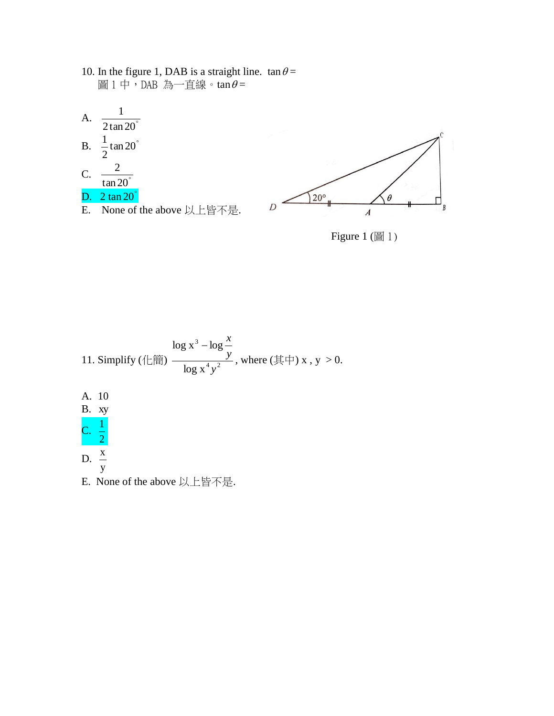10. In the figure 1, DAB is a straight line.  $\tan \theta =$ 圖1中,DAB 為一直線。tan $\theta$ =







Figure 1 (圖 1)

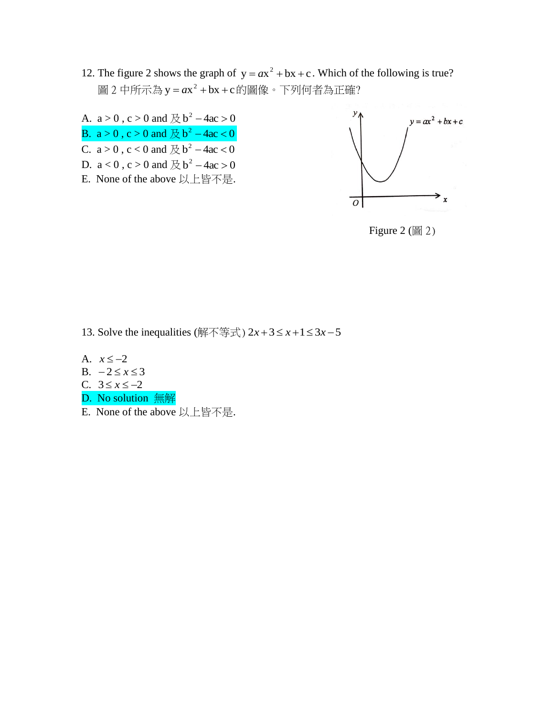- 12. The figure 2 shows the graph of  $y = ax^2 + bx + c$ . Which of the following is true? 圖 2 中所示為 y = *a*x<sup>2</sup> + bx + c的圖像。下列何者為正確?
- A.  $a > 0$ ,  $c > 0$  and  $\not\to b^2 4ac > 0$ B.  $a > 0$ ,  $c > 0$  and  $\cancel{\mathcal{R}}$  b<sup>2</sup> – 4ac < 0 C.  $a > 0$ ,  $c < 0$  and  $\cancel{\mathcal{R}}$   $b^2 - 4ac < 0$ D.  $a < 0$ ,  $c > 0$  and  $\cancel{\mathcal{R}}$   $b^2 - 4ac > 0$ E. None of the above 以上皆不是.



Figure  $2 \times 2 \times 2$ 

- 13. Solve the inequalities (解不等式)  $2x+3 \leq x+1 \leq 3x-5$
- A.  $x \le -2$
- B.  $-2 \le x \le 3$
- C.  $3 ≤ x ≤ -2$
- D. No solution 無解
- E. None of the above 以上皆不是.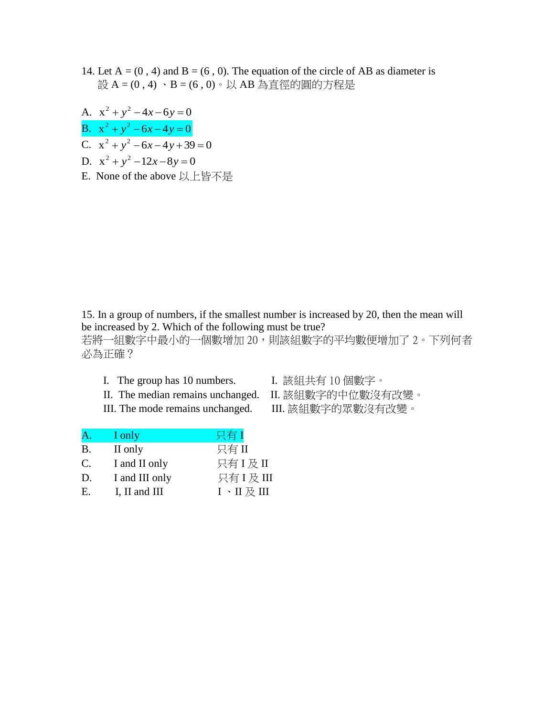- 14. Let  $A = (0, 4)$  and  $B = (6, 0)$ . The equation of the circle of AB as diameter is 設 A = (0 , 4) 、B = (6 , 0)。以 AB 為直徑的圓的方程是
- A.  $x^2 + y^2 4x 6y = 0$ B.  $x^2 + y^2 - 6x - 4y = 0$ C.  $x^2 + y^2 - 6x - 4y + 39 = 0$ D.  $x^2 + y^2 - 12x - 8y = 0$ E. None of the above 以上皆不是

15. In a group of numbers, if the smallest number is increased by 20, then the mean will be increased by 2. Which of the following must be true? 若將一組數字中最小的一個數增加 20,則該組數字的平均數便增加了 2。下列何者 必為正確?

I. The group has 10 numbers. I. 該組共有 10 個數字。

- II. The median remains unchanged. II. 該組數字的中位數沒有改變。
- III. The mode remains unchanged. III. 該組數字的眾數沒有改變。

| A.             | I only         | 只有I                                    |
|----------------|----------------|----------------------------------------|
| <b>B.</b>      | II only        | 只有II                                   |
| $\mathbf{C}$ . | I and II only  | 只有 I 及 II                              |
| D.             | I and III only | 只有 I 及 III                             |
| Е.             | I, II and III  | $I \cdot II \not\!\!\!\!\! \times III$ |
|                |                |                                        |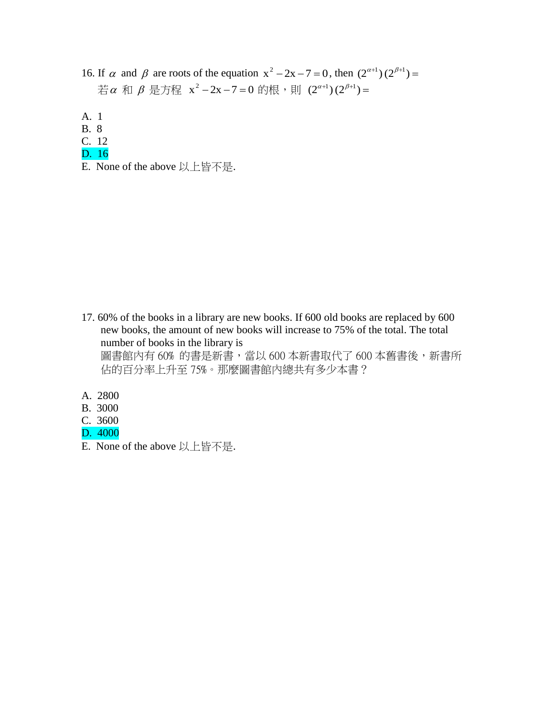- 16. If  $\alpha$  and  $\beta$  are roots of the equation  $x^2 2x 7 = 0$ , then  $(2^{\alpha+1})(2^{\beta+1}) =$ 若α 和β是方程 x²–2x–7=0的根,則 (2<sup>α+1</sup>)(2<sup>β+1</sup>)=
- A. 1
- B. 8
- C. 12
- D. 16
- E. None of the above 以上皆不是.

- 17. 60% of the books in a library are new books. If 600 old books are replaced by 600 new books, the amount of new books will increase to 75% of the total. The total number of books in the library is 圖書館內有60%的書是新書,當以 600 本新書取代了 600 本舊書後,新書所 佔的百分率上升至 75%。那麼圖書館內總共有多少本書?
- A. 2800
- B. 3000
- C. 3600
- D. 4000
- E. None of the above 以上皆不是.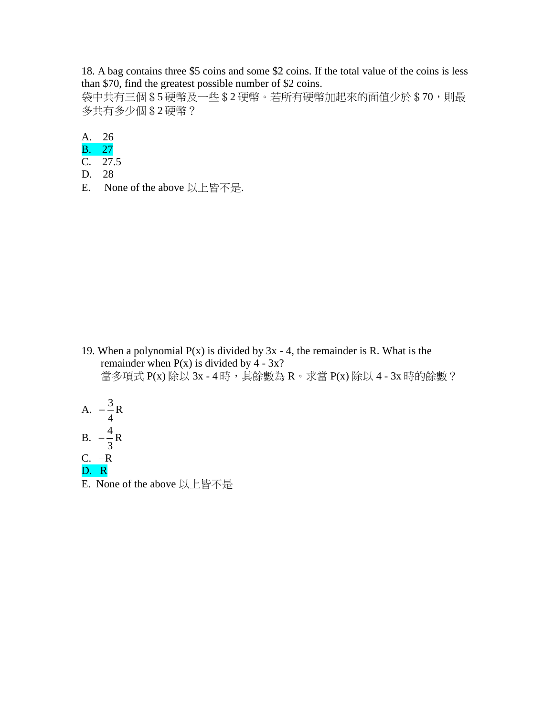18. A bag contains three \$5 coins and some \$2 coins. If the total value of the coins is less than \$70, find the greatest possible number of \$2 coins.

袋中共有三個 \$5 硬幣及一些 \$2 硬幣。若所有硬幣加起來的面值少於 \$70,則最 多共有多少個\$2 硬幣?

A. 26

- B. 27
- C. 27.5
- D. 28
- E. None of the above 以上皆不是.

19. When a polynomial  $P(x)$  is divided by  $3x - 4$ , the remainder is R. What is the remainder when  $P(x)$  is divided by 4 - 3x? 當多項式 P(x) 除以 3x - 4 時, 其餘數為 R。求當 P(x) 除以 4 - 3x 時的餘數?

A. 
$$
-\frac{3}{4}R
$$
  
\nB. 
$$
-\frac{4}{3}R
$$
  
\nC. -R  
\nD. R

E. None of the above 以上皆不是